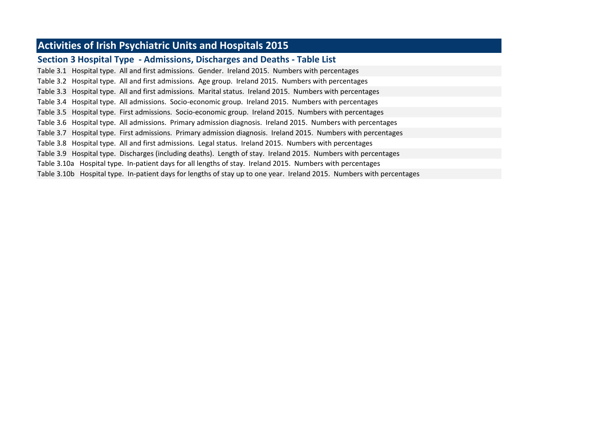# **Activities of Irish Psychiatric Units and Hospitals 2015**

## **Section 3 Hospital Type - Admissions, Discharges and Deaths - Table List**

Table 3.1 Hospital type. All and first admissions. Gender. Ireland 2015. Numbers with percentages Table 3.2 Hospital type. All and first admissions. Age group. Ireland 2015. Numbers with percentages Table 3.3 Hospital type. All and first admissions. Marital status. Ireland 2015. Numbers with percentages Table 3.4 Hospital type. All admissions. Socio-economic group. Ireland 2015. Numbers with percentages Table 3.5 Hospital type. First admissions. Socio-economic group. Ireland 2015. Numbers with percentages Table 3.6 Hospital type. All admissions. Primary admission diagnosis. Ireland 2015. Numbers with percentages Table 3.7 Hospital type. First admissions. Primary admission diagnosis. Ireland 2015. Numbers with percentages Table 3.8 Hospital type. All and first admissions. Legal status. Ireland 2015. Numbers with percentages Table 3.9 Hospital type. Discharges (including deaths). Length of stay. Ireland 2015. Numbers with percentages Table 3.10a Hospital type. In-patient days for all lengths of stay. Ireland 2015. Numbers with percentages Table 3.10b Hospital type. In-patient days for lengths of stay up to one year. Ireland 2015. Numbers with percentages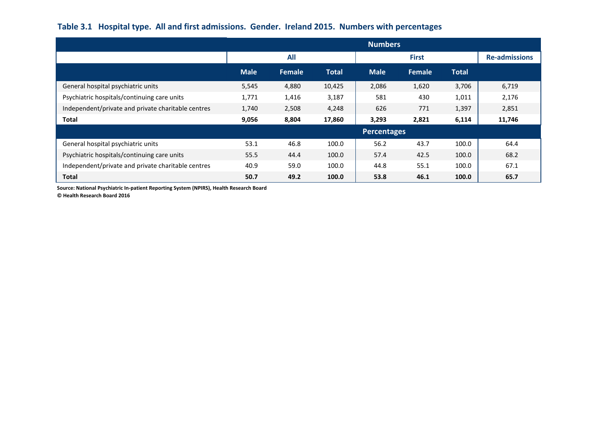## **Table 3.1 Hospital type. All and first admissions. Gender. Ireland 2015. Numbers with percentages**

|                                                    | <b>Numbers</b> |        |              |             |              |              |                      |  |  |  |
|----------------------------------------------------|----------------|--------|--------------|-------------|--------------|--------------|----------------------|--|--|--|
|                                                    |                | All    |              |             | <b>First</b> |              | <b>Re-admissions</b> |  |  |  |
|                                                    | <b>Male</b>    | Female | <b>Total</b> | <b>Male</b> | Female       | <b>Total</b> |                      |  |  |  |
| General hospital psychiatric units                 | 5,545          | 4,880  | 10,425       | 2,086       | 1,620        | 3,706        | 6,719                |  |  |  |
| Psychiatric hospitals/continuing care units        | 1,771          | 1,416  | 3,187        | 581         | 430          | 1,011        | 2,176                |  |  |  |
| Independent/private and private charitable centres | 1,740          | 2,508  | 4,248        | 626         | 771          | 1,397        | 2,851                |  |  |  |
| <b>Total</b>                                       | 9,056          | 8,804  | 17,860       | 3,293       | 2,821        | 6,114        | 11,746               |  |  |  |
|                                                    |                |        |              | Percentages |              |              |                      |  |  |  |
| General hospital psychiatric units                 | 53.1           | 46.8   | 100.0        | 56.2        | 43.7         | 100.0        | 64.4                 |  |  |  |
| Psychiatric hospitals/continuing care units        | 55.5           | 44.4   | 100.0        | 57.4        | 42.5         | 100.0        | 68.2                 |  |  |  |
| Independent/private and private charitable centres | 40.9           | 59.0   | 100.0        | 44.8        | 55.1         | 100.0        | 67.1                 |  |  |  |
| <b>Total</b>                                       | 50.7           | 49.2   | 100.0        | 53.8        | 46.1         | 100.0        | 65.7                 |  |  |  |

**Source: National Psychiatric In-patient Reporting System (NPIRS), Health Research Board**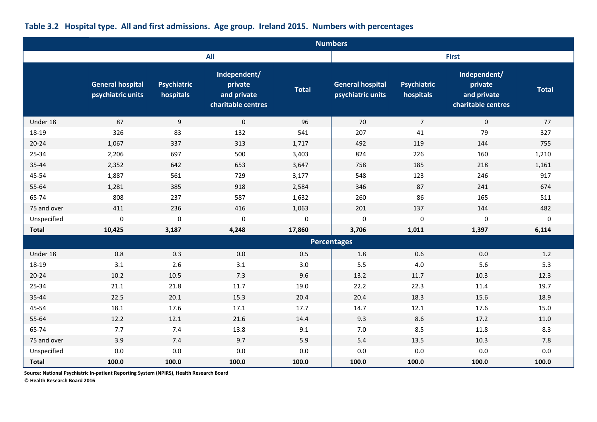|              |                                              |                                 |                                                              |              | <b>Numbers</b>                               |                                 |                                                              |              |
|--------------|----------------------------------------------|---------------------------------|--------------------------------------------------------------|--------------|----------------------------------------------|---------------------------------|--------------------------------------------------------------|--------------|
|              |                                              |                                 | <b>All</b>                                                   |              |                                              |                                 | <b>First</b>                                                 |              |
|              | <b>General hospital</b><br>psychiatric units | <b>Psychiatric</b><br>hospitals | Independent/<br>private<br>and private<br>charitable centres | <b>Total</b> | <b>General hospital</b><br>psychiatric units | <b>Psychiatric</b><br>hospitals | Independent/<br>private<br>and private<br>charitable centres | <b>Total</b> |
| Under 18     | 87                                           | 9                               | $\mathbf{0}$                                                 | 96           | 70                                           | $\overline{7}$                  | $\mathbf 0$                                                  | 77           |
| 18-19        | 326                                          | 83                              | 132                                                          | 541          | 207                                          | 41                              | 79                                                           | 327          |
| $20 - 24$    | 1,067                                        | 337                             | 313                                                          | 1,717        | 492                                          | 119                             | 144                                                          | 755          |
| 25-34        | 2,206                                        | 697                             | 500                                                          | 3,403        | 824                                          | 226                             | 160                                                          | 1,210        |
| 35-44        | 2,352                                        | 642                             | 653                                                          | 3,647        | 758                                          | 185                             | 218                                                          | 1,161        |
| 45-54        | 1,887                                        | 561                             | 729                                                          | 3,177        | 548                                          | 123                             | 246                                                          | 917          |
| 55-64        | 1,281                                        | 385                             | 918                                                          | 2,584        | 346                                          | 87                              | 241                                                          | 674          |
| 65-74        | 808                                          | 237                             | 587                                                          | 1,632        | 260                                          | 86                              | 165                                                          | 511          |
| 75 and over  | 411                                          | 236                             | 416                                                          | 1,063        | 201                                          | 137                             | 144                                                          | 482          |
| Unspecified  | $\mathbf 0$                                  | $\pmb{0}$                       | $\mathbf 0$                                                  | $\pmb{0}$    | $\mathbf 0$                                  | $\pmb{0}$                       | 0                                                            | $\pmb{0}$    |
| <b>Total</b> | 10,425                                       | 3,187                           | 4,248                                                        | 17,860       | 3,706                                        | 1,011                           | 1,397                                                        | 6,114        |
|              |                                              |                                 |                                                              |              | <b>Percentages</b>                           |                                 |                                                              |              |
| Under 18     | 0.8                                          | 0.3                             | 0.0                                                          | 0.5          | 1.8                                          | 0.6                             | 0.0                                                          | 1.2          |
| 18-19        | 3.1                                          | 2.6                             | 3.1                                                          | 3.0          | 5.5                                          | $4.0\,$                         | 5.6                                                          | 5.3          |
| $20 - 24$    | 10.2                                         | 10.5                            | 7.3                                                          | 9.6          | 13.2                                         | 11.7                            | 10.3                                                         | 12.3         |
| 25-34        | 21.1                                         | 21.8                            | 11.7                                                         | 19.0         | 22.2                                         | 22.3                            | 11.4                                                         | 19.7         |
| 35-44        | 22.5                                         | 20.1                            | 15.3                                                         | 20.4         | 20.4                                         | 18.3                            | 15.6                                                         | 18.9         |
| 45-54        | 18.1                                         | 17.6                            | 17.1                                                         | 17.7         | 14.7                                         | 12.1                            | 17.6                                                         | 15.0         |
| 55-64        | 12.2                                         | 12.1                            | 21.6                                                         | 14.4         | 9.3                                          | 8.6                             | 17.2                                                         | 11.0         |
| 65-74        | 7.7                                          | 7.4                             | 13.8                                                         | 9.1          | 7.0                                          | 8.5                             | 11.8                                                         | 8.3          |
| 75 and over  | 3.9                                          | 7.4                             | 9.7                                                          | 5.9          | 5.4                                          | 13.5                            | 10.3                                                         | 7.8          |
| Unspecified  | 0.0                                          | 0.0                             | 0.0                                                          | $0.0\,$      | 0.0                                          | 0.0                             | 0.0                                                          | 0.0          |
| <b>Total</b> | 100.0                                        | 100.0                           | 100.0                                                        | 100.0        | 100.0                                        | 100.0                           | 100.0                                                        | 100.0        |

# **Table 3.2 Hospital type. All and first admissions. Age group. Ireland 2015. Numbers with percentages**

**Source: National Psychiatric In-patient Reporting System (NPIRS), Health Research Board**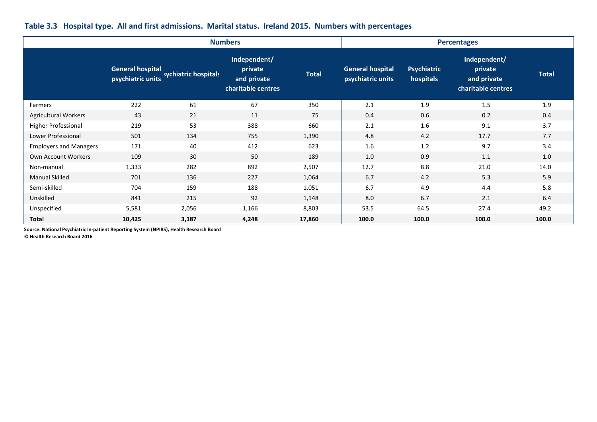|                               |                         |                                        | <b>Numbers</b>                                               |              | <b>Percentages</b>                           |                                 |                                                              |              |  |
|-------------------------------|-------------------------|----------------------------------------|--------------------------------------------------------------|--------------|----------------------------------------------|---------------------------------|--------------------------------------------------------------|--------------|--|
|                               | <b>General hospital</b> | psychiatric units sychiatric hospitals | Independent/<br>private<br>and private<br>charitable centres | <b>Total</b> | <b>General hospital</b><br>psychiatric units | <b>Psychiatric</b><br>hospitals | Independent/<br>private<br>and private<br>charitable centres | <b>Total</b> |  |
| Farmers                       | 222                     | 61                                     | 67                                                           | 350          | 2.1                                          | 1.9                             | 1.5                                                          | 1.9          |  |
| <b>Agricultural Workers</b>   | 43                      | 21                                     | 11                                                           | 75           | 0.4                                          | 0.6                             | 0.2                                                          | 0.4          |  |
| Higher Professional           | 219                     | 53                                     | 388                                                          | 660          | 2.1                                          | 1.6                             | 9.1                                                          | 3.7          |  |
| Lower Professional            | 501                     | 134                                    | 755                                                          | 1,390        | 4.8                                          | 4.2                             | 17.7                                                         | 7.7          |  |
| <b>Employers and Managers</b> | 171                     | 40                                     | 412                                                          | 623          | 1.6                                          | 1.2                             | 9.7                                                          | 3.4          |  |
| Own Account Workers           | 109                     | 30                                     | 50                                                           | 189          | 1.0                                          | 0.9                             | 1.1                                                          | 1.0          |  |
| Non-manual                    | 1,333                   | 282                                    | 892                                                          | 2,507        | 12.7                                         | 8.8                             | 21.0                                                         | 14.0         |  |
| <b>Manual Skilled</b>         | 701                     | 136                                    | 227                                                          | 1,064        | 6.7                                          | 4.2                             | 5.3                                                          | 5.9          |  |
| Semi-skilled                  | 704                     | 159                                    | 188                                                          | 1,051        | 6.7                                          | 4.9                             | 4.4                                                          | 5.8          |  |
| Unskilled                     | 841                     | 215                                    | 92                                                           | 1,148        | 8.0                                          | 6.7                             | 2.1                                                          | 6.4          |  |
| Unspecified                   | 5,581                   | 2,056                                  | 1,166                                                        | 8,803        | 53.5                                         | 64.5                            | 27.4                                                         | 49.2         |  |
| <b>Total</b>                  | 10,425                  | 3,187                                  | 4,248                                                        | 17,860       | 100.0                                        | 100.0                           | 100.0                                                        | 100.0        |  |

**Source: National Psychiatric In-patient Reporting System (NPIRS), Health Research Board**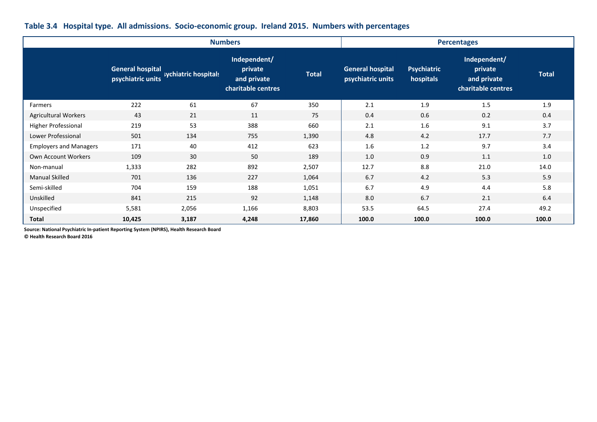|                               |                                              |                      | <b>Numbers</b>                                               |              | <b>Percentages</b>                           |                                 |                                                              |              |  |
|-------------------------------|----------------------------------------------|----------------------|--------------------------------------------------------------|--------------|----------------------------------------------|---------------------------------|--------------------------------------------------------------|--------------|--|
|                               | <b>General hospital</b><br>psychiatric units | sychiatric hospitals | Independent/<br>private<br>and private<br>charitable centres | <b>Total</b> | <b>General hospital</b><br>psychiatric units | <b>Psychiatric</b><br>hospitals | Independent/<br>private<br>and private<br>charitable centres | <b>Total</b> |  |
| Farmers                       | 222                                          | 61                   | 67                                                           | 350          | 2.1                                          | 1.9                             | 1.5                                                          | 1.9          |  |
| <b>Agricultural Workers</b>   | 43                                           | 21                   | 11                                                           | 75           | 0.4                                          | 0.6                             | 0.2                                                          | 0.4          |  |
| <b>Higher Professional</b>    | 219                                          | 53                   | 388                                                          | 660          | 2.1                                          | 1.6                             | 9.1                                                          | 3.7          |  |
| Lower Professional            | 501                                          | 134                  | 755                                                          | 1,390        | 4.8                                          | 4.2                             | 17.7                                                         | 7.7          |  |
| <b>Employers and Managers</b> | 171                                          | 40                   | 412                                                          | 623          | 1.6                                          | 1.2                             | 9.7                                                          | 3.4          |  |
| Own Account Workers           | 109                                          | 30                   | 50                                                           | 189          | 1.0                                          | 0.9                             | 1.1                                                          | 1.0          |  |
| Non-manual                    | 1,333                                        | 282                  | 892                                                          | 2,507        | 12.7                                         | 8.8                             | 21.0                                                         | 14.0         |  |
| <b>Manual Skilled</b>         | 701                                          | 136                  | 227                                                          | 1,064        | 6.7                                          | 4.2                             | 5.3                                                          | 5.9          |  |
| Semi-skilled                  | 704                                          | 159                  | 188                                                          | 1,051        | 6.7                                          | 4.9                             | 4.4                                                          | 5.8          |  |
| Unskilled                     | 841                                          | 215                  | 92                                                           | 1,148        | 8.0                                          | 6.7                             | 2.1                                                          | 6.4          |  |
| Unspecified                   | 5,581                                        | 2,056                | 1,166                                                        | 8,803        | 53.5                                         | 64.5                            | 27.4                                                         | 49.2         |  |
| <b>Total</b>                  | 10,425                                       | 3,187                | 4,248                                                        | 17,860       | 100.0                                        | 100.0                           | 100.0                                                        | 100.0        |  |

### **Table 3.4 Hospital type. All admissions. Socio-economic group. Ireland 2015. Numbers with percentages**

**Source: National Psychiatric In-patient Reporting System (NPIRS), Health Research Board**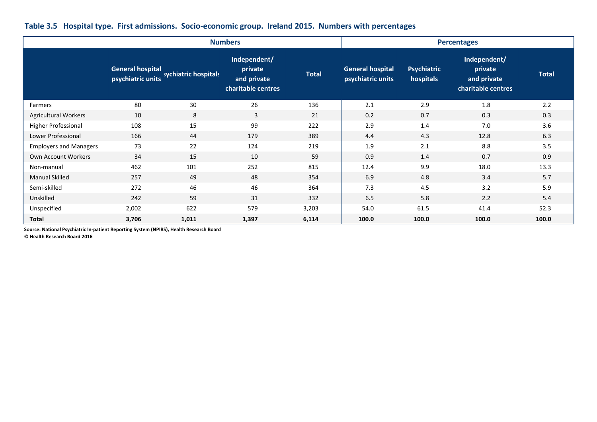|                               |                                              |                      | <b>Numbers</b>                                               |              |                                              | <b>Percentages</b>              |                                                              |              |  |  |  |
|-------------------------------|----------------------------------------------|----------------------|--------------------------------------------------------------|--------------|----------------------------------------------|---------------------------------|--------------------------------------------------------------|--------------|--|--|--|
|                               | <b>General hospital</b><br>psychiatric units | sychiatric hospitals | Independent/<br>private<br>and private<br>charitable centres | <b>Total</b> | <b>General hospital</b><br>psychiatric units | <b>Psychiatric</b><br>hospitals | Independent/<br>private<br>and private<br>charitable centres | <b>Total</b> |  |  |  |
| Farmers                       | 80                                           | 30                   | 26                                                           | 136          | 2.1                                          | 2.9                             | 1.8                                                          | 2.2          |  |  |  |
| <b>Agricultural Workers</b>   | 10                                           | 8                    | $\overline{3}$                                               | 21           | 0.2                                          | 0.7                             | 0.3                                                          | 0.3          |  |  |  |
| Higher Professional           | 108                                          | 15                   | 99                                                           | 222          | 2.9                                          | 1.4                             | 7.0                                                          | 3.6          |  |  |  |
| Lower Professional            | 166                                          | 44                   | 179                                                          | 389          | 4.4                                          | 4.3                             | 12.8                                                         | 6.3          |  |  |  |
| <b>Employers and Managers</b> | 73                                           | 22                   | 124                                                          | 219          | 1.9                                          | 2.1                             | 8.8                                                          | 3.5          |  |  |  |
| Own Account Workers           | 34                                           | 15                   | 10                                                           | 59           | 0.9                                          | 1.4                             | 0.7                                                          | 0.9          |  |  |  |
| Non-manual                    | 462                                          | 101                  | 252                                                          | 815          | 12.4                                         | 9.9                             | 18.0                                                         | 13.3         |  |  |  |
| <b>Manual Skilled</b>         | 257                                          | 49                   | 48                                                           | 354          | 6.9                                          | 4.8                             | 3.4                                                          | 5.7          |  |  |  |
| Semi-skilled                  | 272                                          | 46                   | 46                                                           | 364          | 7.3                                          | 4.5                             | 3.2                                                          | 5.9          |  |  |  |
| Unskilled                     | 242                                          | 59                   | 31                                                           | 332          | 6.5                                          | 5.8                             | 2.2                                                          | 5.4          |  |  |  |
| Unspecified                   | 2,002                                        | 622                  | 579                                                          | 3,203        | 54.0                                         | 61.5                            | 41.4                                                         | 52.3         |  |  |  |
| <b>Total</b>                  | 3,706                                        | 1,011                | 1,397                                                        | 6,114        | 100.0                                        | 100.0                           | 100.0                                                        | 100.0        |  |  |  |

### **Table 3.5 Hospital type. First admissions. Socio-economic group. Ireland 2015. Numbers with percentages**

**Source: National Psychiatric In-patient Reporting System (NPIRS), Health Research Board**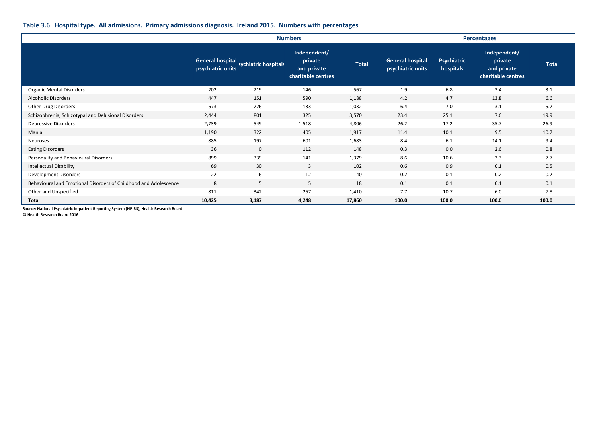#### **Table 3.6 Hospital type. All admissions. Primary admissions diagnosis. Ireland 2015. Numbers with percentages**

|                                                                  |                                              |                      | <b>Numbers</b>                                               |              |                                              | <b>Percentages</b>              |                                                              |              |  |
|------------------------------------------------------------------|----------------------------------------------|----------------------|--------------------------------------------------------------|--------------|----------------------------------------------|---------------------------------|--------------------------------------------------------------|--------------|--|
|                                                                  | <b>General hospital</b><br>psychiatric units | sychiatric hospitals | Independent/<br>private<br>and private<br>charitable centres | <b>Total</b> | <b>General hospital</b><br>psychiatric units | <b>Psychiatric</b><br>hospitals | Independent/<br>private<br>and private<br>charitable centres | <b>Total</b> |  |
| <b>Organic Mental Disorders</b>                                  | 202                                          | 219                  | 146                                                          | 567          | 1.9                                          | 6.8                             | 3.4                                                          | 3.1          |  |
| <b>Alcoholic Disorders</b>                                       | 447                                          | 151                  | 590                                                          | 1,188        | 4.2                                          | 4.7                             | 13.8                                                         | 6.6          |  |
| Other Drug Disorders                                             | 673                                          | 226                  | 133                                                          | 1,032        | 6.4                                          | 7.0                             | 3.1                                                          | 5.7          |  |
| Schizophrenia, Schizotypal and Delusional Disorders              | 2,444                                        | 801                  | 325                                                          | 3,570        | 23.4                                         | 25.1                            | 7.6                                                          | 19.9         |  |
| Depressive Disorders                                             | 2,739                                        | 549                  | 1,518                                                        | 4,806        | 26.2                                         | 17.2                            | 35.7                                                         | 26.9         |  |
| Mania                                                            | 1,190                                        | 322                  | 405                                                          | 1,917        | 11.4                                         | 10.1                            | 9.5                                                          | 10.7         |  |
| Neuroses                                                         | 885                                          | 197                  | 601                                                          | 1,683        | 8.4                                          | 6.1                             | 14.1                                                         | 9.4          |  |
| <b>Eating Disorders</b>                                          | 36                                           | $\mathbf 0$          | 112                                                          | 148          | 0.3                                          | 0.0                             | 2.6                                                          | 0.8          |  |
| Personality and Behavioural Disorders                            | 899                                          | 339                  | 141                                                          | 1,379        | 8.6                                          | 10.6                            | 3.3                                                          | 7.7          |  |
| <b>Intellectual Disability</b>                                   | 69                                           | 30                   | 3                                                            | 102          | 0.6                                          | 0.9                             | 0.1                                                          | 0.5          |  |
| Development Disorders                                            | 22                                           | 6                    | 12                                                           | 40           | 0.2                                          | 0.1                             | 0.2                                                          | 0.2          |  |
| Behavioural and Emotional Disorders of Childhood and Adolescence | 8                                            | 5                    | 5                                                            | 18           | 0.1                                          | 0.1                             | 0.1                                                          | 0.1          |  |
| Other and Unspecified                                            | 811                                          | 342                  | 257                                                          | 1,410        | 7.7                                          | 10.7                            | 6.0                                                          | 7.8          |  |
| <b>Total</b>                                                     | 10,425                                       | 3,187                | 4,248                                                        | 17,860       | 100.0                                        | 100.0                           | 100.0                                                        | 100.0        |  |

**Source: National Psychiatric In-patient Reporting System (NPIRS), Health Research Board**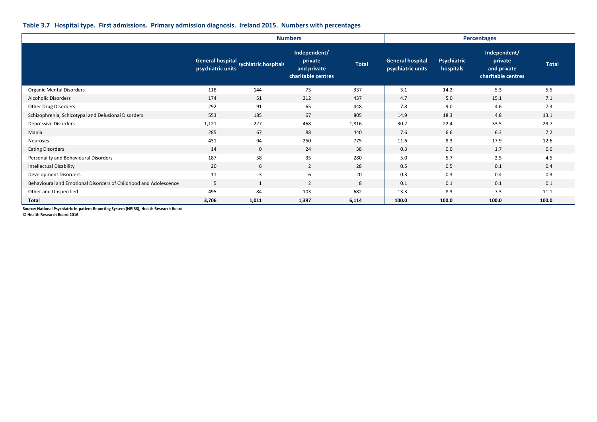#### **Table 3.7 Hospital type. First admissions. Primary admission diagnosis. Ireland 2015. Numbers with percentages**

|                                                                  |                         |                                        | <b>Numbers</b>                                               |              |                                              | <b>Percentages</b>              |                                                              |              |  |
|------------------------------------------------------------------|-------------------------|----------------------------------------|--------------------------------------------------------------|--------------|----------------------------------------------|---------------------------------|--------------------------------------------------------------|--------------|--|
|                                                                  | <b>General hospital</b> | psychiatric units sychiatric hospitals | Independent/<br>private<br>and private<br>charitable centres | <b>Total</b> | <b>General hospital</b><br>psychiatric units | <b>Psychiatric</b><br>hospitals | Independent/<br>private<br>and private<br>charitable centres | <b>Total</b> |  |
| <b>Organic Mental Disorders</b>                                  | 118                     | 144                                    | 75                                                           | 337          | 3.1                                          | 14.2                            | 5.3                                                          | 5.5          |  |
| Alcoholic Disorders                                              | 174                     | 51                                     | 212                                                          | 437          | 4.7                                          | 5.0                             | 15.1                                                         | 7.1          |  |
| Other Drug Disorders                                             | 292                     | 91                                     | 65                                                           | 448          | 7.8                                          | 9.0                             | 4.6                                                          | 7.3          |  |
| Schizophrenia, Schizotypal and Delusional Disorders              | 553                     | 185                                    | 67                                                           | 805          | 14.9                                         | 18.3                            | 4.8                                                          | 13.1         |  |
| Depressive Disorders                                             | 1,121                   | 227                                    | 468                                                          | 1,816        | 30.2                                         | 22.4                            | 33.5                                                         | 29.7         |  |
| Mania                                                            | 285                     | 67                                     | 88                                                           | 440          | 7.6                                          | 6.6                             | 6.3                                                          | 7.2          |  |
| Neuroses                                                         | 431                     | 94                                     | 250                                                          | 775          | 11.6                                         | 9.3                             | 17.9                                                         | 12.6         |  |
| <b>Eating Disorders</b>                                          | 14                      | $\mathbf 0$                            | 24                                                           | 38           | 0.3                                          | 0.0                             | 1.7                                                          | 0.6          |  |
| Personality and Behavioural Disorders                            | 187                     | 58                                     | 35                                                           | 280          | 5.0                                          | 5.7                             | 2.5                                                          | 4.5          |  |
| <b>Intellectual Disability</b>                                   | 20                      | 6                                      | $\overline{2}$                                               | 28           | 0.5                                          | 0.5                             | 0.1                                                          | 0.4          |  |
| Development Disorders                                            | 11                      | $\overline{3}$                         | 6                                                            | 20           | 0.3                                          | 0.3                             | 0.4                                                          | 0.3          |  |
| Behavioural and Emotional Disorders of Childhood and Adolescence | 5                       | 1                                      | $\overline{2}$                                               | 8            | 0.1                                          | 0.1                             | 0.1                                                          | 0.1          |  |
| Other and Unspecified                                            | 495                     | 84                                     | 103                                                          | 682          | 13.3                                         | 8.3                             | 7.3                                                          | 11.1         |  |
| <b>Total</b>                                                     | 3,706                   | 1,011                                  | 1,397                                                        | 6,114        | 100.0                                        | 100.0                           | 100.0                                                        | 100.0        |  |

**Source: National Psychiatric In-patient Reporting System (NPIRS), Health Research Board**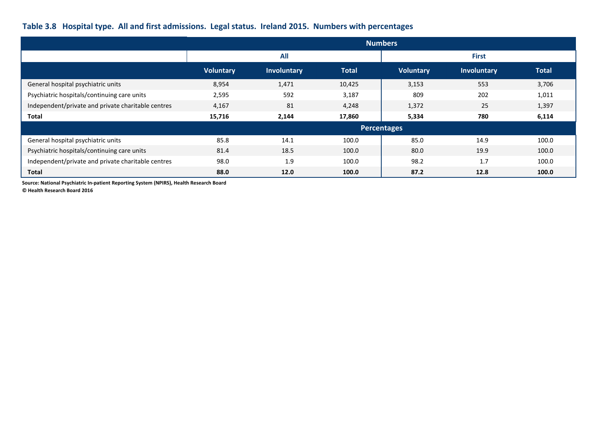# **Table 3.8 Hospital type. All and first admissions. Legal status. Ireland 2015. Numbers with percentages**

|                                                    |                  |             |              | <b>Numbers</b>     |              |              |  |  |
|----------------------------------------------------|------------------|-------------|--------------|--------------------|--------------|--------------|--|--|
|                                                    |                  | <b>All</b>  |              |                    | <b>First</b> |              |  |  |
|                                                    | <b>Voluntary</b> | Involuntary | <b>Total</b> | <b>Voluntary</b>   | Involuntary  | <b>Total</b> |  |  |
| General hospital psychiatric units                 | 8,954            | 1,471       | 10,425       | 3,153              | 553          | 3,706        |  |  |
| Psychiatric hospitals/continuing care units        | 2,595            | 592         | 3,187        | 809                | 202          | 1,011        |  |  |
| Independent/private and private charitable centres | 4,167            | 81          | 4,248        | 1,372              | 25           | 1,397        |  |  |
| <b>Total</b>                                       | 15,716           | 2,144       | 17,860       | 5,334              | 780          | 6,114        |  |  |
|                                                    |                  |             |              | <b>Percentages</b> |              |              |  |  |
| General hospital psychiatric units                 | 85.8             | 14.1        | 100.0        | 85.0               | 14.9         | 100.0        |  |  |
| Psychiatric hospitals/continuing care units        | 81.4             | 18.5        | 100.0        | 80.0               | 19.9         | 100.0        |  |  |
| Independent/private and private charitable centres | 98.0             | 1.9         | 100.0        | 98.2               | 1.7          | 100.0        |  |  |
| <b>Total</b>                                       | 88.0             | 12.0        | 100.0        | 87.2               | 12.8         | 100.0        |  |  |

**Source: National Psychiatric In-patient Reporting System (NPIRS), Health Research Board**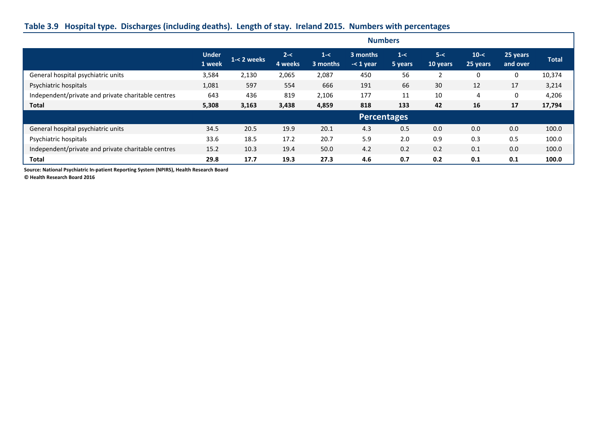## **Table 3.9 Hospital type. Discharges (including deaths). Length of stay. Ireland 2015. Numbers with percentages**

|                                                    | <b>Numbers</b>         |             |                    |                     |                         |                    |                     |                      |                      |              |
|----------------------------------------------------|------------------------|-------------|--------------------|---------------------|-------------------------|--------------------|---------------------|----------------------|----------------------|--------------|
|                                                    | <b>Under</b><br>1 week | 1-< 2 weeks | $2 - <$<br>4 weeks | $1 - <$<br>3 months | 3 months<br>$-<$ 1 year | $1 - <$<br>5 years | $5 - <$<br>10 years | $10 - <$<br>25 years | 25 years<br>and over | <b>Total</b> |
| General hospital psychiatric units                 | 3,584                  | 2,130       | 2,065              | 2,087               | 450                     | 56                 | 2                   | 0                    | 0                    | 10,374       |
| Psychiatric hospitals                              | 1,081                  | 597         | 554                | 666                 | 191                     | 66                 | 30                  | 12                   | 17                   | 3,214        |
| Independent/private and private charitable centres | 643                    | 436         | 819                | 2,106               | 177                     | 11                 | 10                  | 4                    | 0                    | 4,206        |
| <b>Total</b>                                       | 5,308                  | 3,163       | 3,438              | 4,859               | 818                     | 133                | 42                  | 16                   | 17                   | 17,794       |
|                                                    |                        |             |                    |                     | <b>Percentages</b>      |                    |                     |                      |                      |              |
| General hospital psychiatric units                 | 34.5                   | 20.5        | 19.9               | 20.1                | 4.3                     | 0.5                | 0.0                 | 0.0                  | 0.0                  | 100.0        |
| Psychiatric hospitals                              | 33.6                   | 18.5        | 17.2               | 20.7                | 5.9                     | 2.0                | 0.9                 | 0.3                  | 0.5                  | 100.0        |
| Independent/private and private charitable centres | 15.2                   | 10.3        | 19.4               | 50.0                | 4.2                     | 0.2                | 0.2                 | 0.1                  | 0.0                  | 100.0        |
| <b>Total</b>                                       | 29.8                   | 17.7        | 19.3               | 27.3                | 4.6                     | 0.7                | 0.2                 | 0.1                  | 0.1                  | 100.0        |

**Source: National Psychiatric In-patient Reporting System (NPIRS), Health Research Board**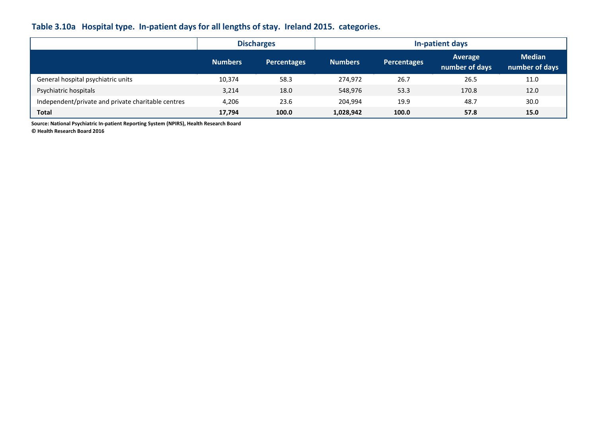## **Table 3.10a Hospital type. In-patient days for all lengths of stay. Ireland 2015. categories.**

|                                                    |                | <b>Discharges</b>  | In-patient days |                    |                           |                                 |  |  |
|----------------------------------------------------|----------------|--------------------|-----------------|--------------------|---------------------------|---------------------------------|--|--|
|                                                    | <b>Numbers</b> | <b>Percentages</b> | <b>Numbers</b>  | <b>Percentages</b> | Average<br>number of days | <b>Median</b><br>number of days |  |  |
| General hospital psychiatric units                 | 10,374         | 58.3               | 274.972         | 26.7               | 26.5                      | 11.0                            |  |  |
| Psychiatric hospitals                              | 3,214          | 18.0               | 548,976         | 53.3               | 170.8                     | 12.0                            |  |  |
| Independent/private and private charitable centres | 4,206          | 23.6               | 204.994         | 19.9               | 48.7                      | 30.0                            |  |  |
| Total                                              | 17,794         | 100.0              | 1,028,942       | 100.0              | 57.8                      | 15.0                            |  |  |

**Source: National Psychiatric In-patient Reporting System (NPIRS), Health Research Board**